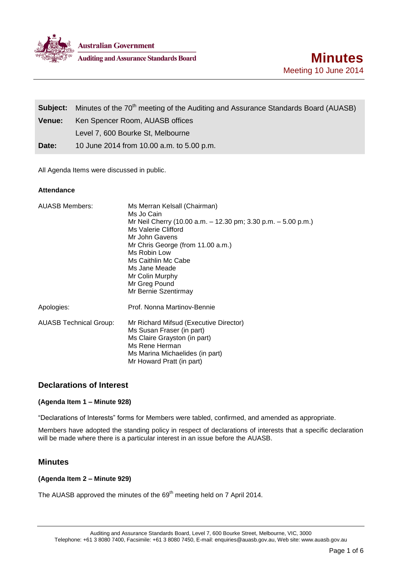

**Auditing and Assurance Standards Board** 

|               | <b>Subject:</b> Minutes of the 70 <sup>th</sup> meeting of the Auditing and Assurance Standards Board (AUASB) |  |
|---------------|---------------------------------------------------------------------------------------------------------------|--|
| <b>Venue:</b> | Ken Spencer Room, AUASB offices                                                                               |  |
|               | Level 7, 600 Bourke St, Melbourne                                                                             |  |
| Date:         | 10 June 2014 from 10.00 a.m. to 5.00 p.m.                                                                     |  |

All Agenda Items were discussed in public.

### **Attendance**

| AUASB Members:                | Ms Merran Kelsall (Chairman)<br>Ms Jo Cain<br>Mr Neil Cherry (10.00 a.m. - 12.30 pm; 3.30 p.m. - 5.00 p.m.)<br>Ms Valerie Clifford<br>Mr John Gavens<br>Mr Chris George (from 11.00 a.m.)<br>Ms Robin Low<br>Ms Caithlin Mc Cabe<br>Ms Jane Meade<br>Mr Colin Murphy<br>Mr Greg Pound<br>Mr Bernie Szentirmay |
|-------------------------------|---------------------------------------------------------------------------------------------------------------------------------------------------------------------------------------------------------------------------------------------------------------------------------------------------------------|
| Apologies:                    | Prof. Nonna Martinov-Bennie                                                                                                                                                                                                                                                                                   |
| <b>AUASB Technical Group:</b> | Mr Richard Mifsud (Executive Director)<br>Ms Susan Fraser (in part)<br>Ms Claire Grayston (in part)<br>Ms Rene Herman<br>Ms Marina Michaelides (in part)<br>Mr Howard Pratt (in part)                                                                                                                         |

# **Declarations of Interest**

### **(Agenda Item 1 – Minute 928)**

"Declarations of Interests" forms for Members were tabled, confirmed, and amended as appropriate.

Members have adopted the standing policy in respect of declarations of interests that a specific declaration will be made where there is a particular interest in an issue before the AUASB.

# **Minutes**

### **(Agenda Item 2 – Minute 929)**

The AUASB approved the minutes of the 69<sup>th</sup> meeting held on 7 April 2014.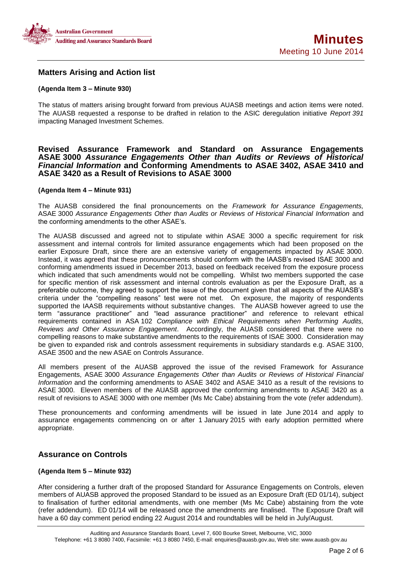

# **Matters Arising and Action list**

### **(Agenda Item 3 – Minute 930)**

The status of matters arising brought forward from previous AUASB meetings and action items were noted. The AUASB requested a response to be drafted in relation to the ASIC deregulation initiative *Report 391* impacting Managed Investment Schemes.

### **Revised Assurance Framework and Standard on Assurance Engagements ASAE 3000** *Assurance Engagements Other than Audits or Reviews of Historical Financial Information* **and Conforming Amendments to ASAE 3402, ASAE 3410 and ASAE 3420 as a Result of Revisions to ASAE 3000**

#### **(Agenda Item 4 – Minute 931)**

The AUASB considered the final pronouncements on the *Framework for Assurance Engagements,* ASAE 3000 *Assurance Engagements Other than Audits or Reviews of Historical Financial Information* and the conforming amendments to the other ASAE's.

The AUASB discussed and agreed not to stipulate within ASAE 3000 a specific requirement for risk assessment and internal controls for limited assurance engagements which had been proposed on the earlier Exposure Draft, since there are an extensive variety of engagements impacted by ASAE 3000. Instead, it was agreed that these pronouncements should conform with the IAASB's revised ISAE 3000 and conforming amendments issued in December 2013, based on feedback received from the exposure process which indicated that such amendments would not be compelling. Whilst two members supported the case for specific mention of risk assessment and internal controls evaluation as per the Exposure Draft, as a preferable outcome, they agreed to support the issue of the document given that all aspects of the AUASB's criteria under the "compelling reasons" test were not met. On exposure, the majority of respondents supported the IAASB requirements without substantive changes. The AUASB however agreed to use the term "assurance practitioner" and "lead assurance practitioner" and reference to relevant ethical requirements contained in ASA 102 *Compliance with Ethical Requirements when Performing Audits, Reviews and Other Assurance Engagement*. Accordingly, the AUASB considered that there were no compelling reasons to make substantive amendments to the requirements of ISAE 3000. Consideration may be given to expanded risk and controls assessment requirements in subsidiary standards e.g. ASAE 3100, ASAE 3500 and the new ASAE on Controls Assurance.

All members present of the AUASB approved the issue of the revised Framework for Assurance Engagements, ASAE 3000 *Assurance Engagements Other than Audits or Reviews of Historical Financial Information* and the conforming amendments to ASAE 3402 and ASAE 3410 as a result of the revisions to ASAE 3000. Eleven members of the AUASB approved the conforming amendments to ASAE 3420 as a result of revisions to ASAE 3000 with one member (Ms Mc Cabe) abstaining from the vote (refer addendum).

These pronouncements and conforming amendments will be issued in late June 2014 and apply to assurance engagements commencing on or after 1 January 2015 with early adoption permitted where appropriate.

# **Assurance on Controls**

### **(Agenda Item 5 – Minute 932)**

After considering a further draft of the proposed Standard for Assurance Engagements on Controls, eleven members of AUASB approved the proposed Standard to be issued as an Exposure Draft (ED 01/14), subject to finalisation of further editorial amendments, with one member (Ms Mc Cabe) abstaining from the vote (refer addendum). ED 01/14 will be released once the amendments are finalised. The Exposure Draft will have a 60 day comment period ending 22 August 2014 and roundtables will be held in July/August.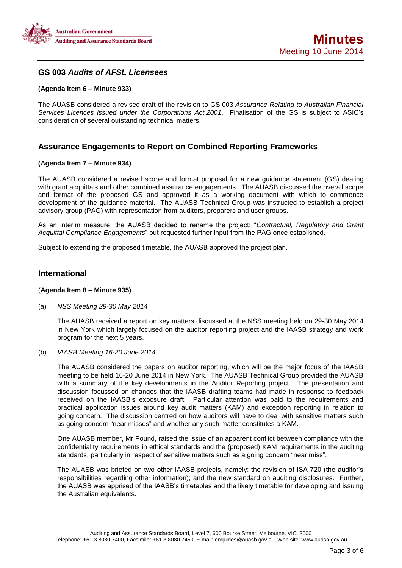

# **GS 003** *Audits of AFSL Licensees*

#### **(Agenda Item 6 – Minute 933)**

The AUASB considered a revised draft of the revision to GS 003 *Assurance Relating to Australian Financial Services Licences issued under the Corporations Act 2001*. Finalisation of the GS is subject to ASIC's consideration of several outstanding technical matters.

# **Assurance Engagements to Report on Combined Reporting Frameworks**

#### **(Agenda Item 7 – Minute 934)**

The AUASB considered a revised scope and format proposal for a new guidance statement (GS) dealing with grant acquittals and other combined assurance engagements. The AUASB discussed the overall scope and format of the proposed GS and approved it as a working document with which to commence development of the guidance material. The AUASB Technical Group was instructed to establish a project advisory group (PAG) with representation from auditors, preparers and user groups.

As an interim measure, the AUASB decided to rename the project: "*Contractual, Regulatory and Grant Acquittal Compliance Engagements*" but requested further input from the PAG once established.

Subject to extending the proposed timetable, the AUASB approved the project plan.

### **International**

#### (**Agenda Item 8 – Minute 935)**

(a) *NSS Meeting 29-30 May 2014* 

The AUASB received a report on key matters discussed at the NSS meeting held on 29-30 May 2014 in New York which largely focused on the auditor reporting project and the IAASB strategy and work program for the next 5 years.

(b) *IAASB Meeting 16-20 June 2014* 

The AUASB considered the papers on auditor reporting, which will be the major focus of the IAASB meeting to be held 16-20 June 2014 in New York. The AUASB Technical Group provided the AUASB with a summary of the key developments in the Auditor Reporting project. The presentation and discussion focussed on changes that the IAASB drafting teams had made in response to feedback received on the IAASB's exposure draft. Particular attention was paid to the requirements and practical application issues around key audit matters (KAM) and exception reporting in relation to going concern. The discussion centred on how auditors will have to deal with sensitive matters such as going concern "near misses" and whether any such matter constitutes a KAM.

One AUASB member, Mr Pound, raised the issue of an apparent conflict between compliance with the confidentiality requirements in ethical standards and the (proposed) KAM requirements in the auditing standards, particularly in respect of sensitive matters such as a going concern "near miss".

The AUASB was briefed on two other IAASB projects, namely: the revision of ISA 720 (the auditor's responsibilities regarding other information); and the new standard on auditing disclosures. Further, the AUASB was apprised of the IAASB's timetables and the likely timetable for developing and issuing the Australian equivalents.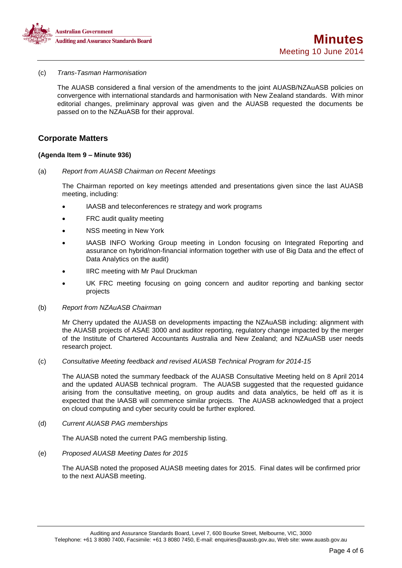

#### (c) *Trans-Tasman Harmonisation*

The AUASB considered a final version of the amendments to the joint AUASB/NZAuASB policies on convergence with international standards and harmonisation with New Zealand standards. With minor editorial changes, preliminary approval was given and the AUASB requested the documents be passed on to the NZAuASB for their approval.

## **Corporate Matters**

#### **(Agenda Item 9 – Minute 936)**

#### (a) *Report from AUASB Chairman on Recent Meetings*

The Chairman reported on key meetings attended and presentations given since the last AUASB meeting, including:

- IAASB and teleconferences re strategy and work programs
- FRC audit quality meeting
- NSS meeting in New York
- IAASB INFO Working Group meeting in London focusing on Integrated Reporting and assurance on hybrid/non-financial information together with use of Big Data and the effect of Data Analytics on the audit)
- IIRC meeting with Mr Paul Druckman
- UK FRC meeting focusing on going concern and auditor reporting and banking sector projects
- (b) *Report from NZAuASB Chairman*

Mr Cherry updated the AUASB on developments impacting the NZAuASB including: alignment with the AUASB projects of ASAE 3000 and auditor reporting, regulatory change impacted by the merger of the Institute of Chartered Accountants Australia and New Zealand; and NZAuASB user needs research project.

#### (c) *Consultative Meeting feedback and revised AUASB Technical Program for 2014-15*

The AUASB noted the summary feedback of the AUASB Consultative Meeting held on 8 April 2014 and the updated AUASB technical program. The AUASB suggested that the requested guidance arising from the consultative meeting, on group audits and data analytics, be held off as it is expected that the IAASB will commence similar projects. The AUASB acknowledged that a project on cloud computing and cyber security could be further explored.

(d) *Current AUASB PAG memberships*

The AUASB noted the current PAG membership listing.

(e) *Proposed AUASB Meeting Dates for 2015* 

The AUASB noted the proposed AUASB meeting dates for 2015. Final dates will be confirmed prior to the next AUASB meeting.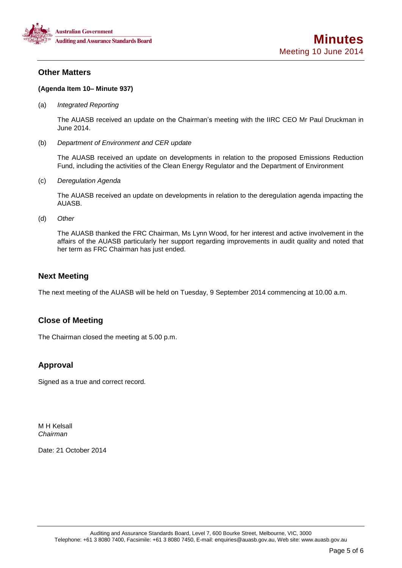

# **Other Matters**

#### **(Agenda Item 10– Minute 937)**

(a) *Integrated Reporting* 

The AUASB received an update on the Chairman's meeting with the IIRC CEO Mr Paul Druckman in June 2014.

(b) *Department of Environment and CER update* 

The AUASB received an update on developments in relation to the proposed Emissions Reduction Fund, including the activities of the Clean Energy Regulator and the Department of Environment

(c) *Deregulation Agenda* 

The AUASB received an update on developments in relation to the deregulation agenda impacting the AUASB.

(d) *Other* 

The AUASB thanked the FRC Chairman, Ms Lynn Wood, for her interest and active involvement in the affairs of the AUASB particularly her support regarding improvements in audit quality and noted that her term as FRC Chairman has just ended.

# **Next Meeting**

The next meeting of the AUASB will be held on Tuesday, 9 September 2014 commencing at 10.00 a.m.

# **Close of Meeting**

The Chairman closed the meeting at 5.00 p.m.

# **Approval**

Signed as a true and correct record.

M H Kelsall *Chairman* 

Date: 21 October 2014